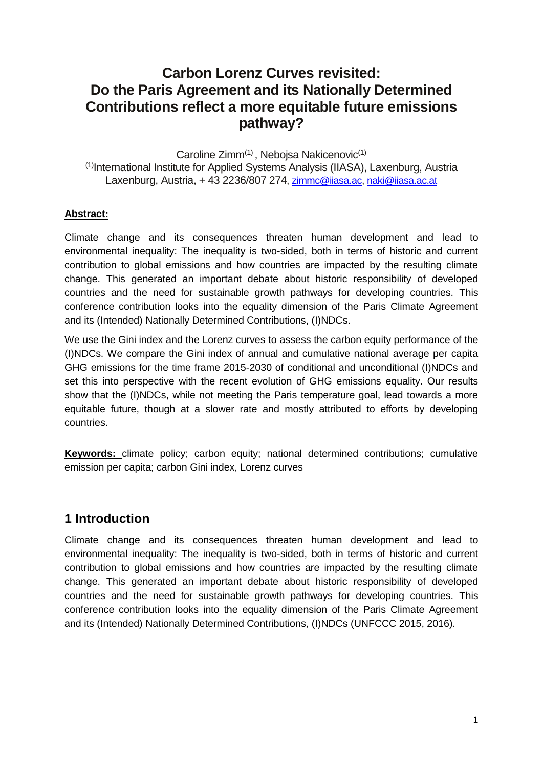# **Carbon Lorenz Curves revisited: Do the Paris Agreement and its Nationally Determined Contributions reflect a more equitable future emissions pathway?**

Caroline Zimm<sup>(1)</sup>, Nebojsa Nakicenovic<sup>(1)</sup> (1) International Institute for Applied Systems Analysis (IIASA), Laxenburg, Austria Laxenburg, Austria, + 43 2236/807 274, [zimmc@iiasa.ac,](mailto:zimmc@iiasa.ac) [naki@iiasa.ac.at](mailto:naki@iiasa.ac.at)

#### **Abstract:**

Climate change and its consequences threaten human development and lead to environmental inequality: The inequality is two-sided, both in terms of historic and current contribution to global emissions and how countries are impacted by the resulting climate change. This generated an important debate about historic responsibility of developed countries and the need for sustainable growth pathways for developing countries. This conference contribution looks into the equality dimension of the Paris Climate Agreement and its (Intended) Nationally Determined Contributions, (I)NDCs.

We use the Gini index and the Lorenz curves to assess the carbon equity performance of the (I)NDCs. We compare the Gini index of annual and cumulative national average per capita GHG emissions for the time frame 2015-2030 of conditional and unconditional (I)NDCs and set this into perspective with the recent evolution of GHG emissions equality. Our results show that the (I)NDCs, while not meeting the Paris temperature goal, lead towards a more equitable future, though at a slower rate and mostly attributed to efforts by developing countries.

**Keywords:** climate policy; carbon equity; national determined contributions; cumulative emission per capita; carbon Gini index, Lorenz curves

#### **1 Introduction**

Climate change and its consequences threaten human development and lead to environmental inequality: The inequality is two-sided, both in terms of historic and current contribution to global emissions and how countries are impacted by the resulting climate change. This generated an important debate about historic responsibility of developed countries and the need for sustainable growth pathways for developing countries. This conference contribution looks into the equality dimension of the Paris Climate Agreement and its (Intended) Nationally Determined Contributions, (I)NDCs (UNFCCC 2015, 2016).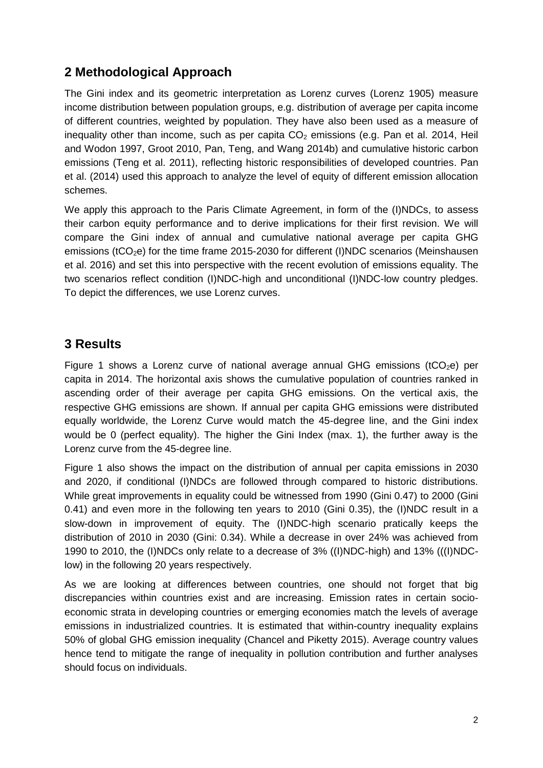## **2 Methodological Approach**

The Gini index and its geometric interpretation as Lorenz curves (Lorenz 1905) measure income distribution between population groups, e.g. distribution of average per capita income of different countries, weighted by population. They have also been used as a measure of inequality other than income, such as per capita  $CO<sub>2</sub>$  emissions (e.g. Pan et al. 2014, Heil and Wodon 1997, Groot 2010, Pan, Teng, and Wang 2014b) and cumulative historic carbon emissions (Teng et al. 2011), reflecting historic responsibilities of developed countries. Pan et al. (2014) used this approach to analyze the level of equity of different emission allocation schemes.

We apply this approach to the Paris Climate Agreement, in form of the (I)NDCs, to assess their carbon equity performance and to derive implications for their first revision. We will compare the Gini index of annual and cumulative national average per capita GHG emissions (tCO<sub>2</sub>e) for the time frame 2015-2030 for different (I)NDC scenarios (Meinshausen et al. 2016) and set this into perspective with the recent evolution of emissions equality. The two scenarios reflect condition (I)NDC-high and unconditional (I)NDC-low country pledges. To depict the differences, we use Lorenz curves.

### **3 Results**

Figure 1 shows a Lorenz curve of national average annual GHG emissions (tCO<sub>2</sub>e) per capita in 2014. The horizontal axis shows the cumulative population of countries ranked in ascending order of their average per capita GHG emissions. On the vertical axis, the respective GHG emissions are shown. If annual per capita GHG emissions were distributed equally worldwide, the Lorenz Curve would match the 45-degree line, and the Gini index would be 0 (perfect equality). The higher the Gini Index (max. 1), the further away is the Lorenz curve from the 45-degree line.

Figure 1 also shows the impact on the distribution of annual per capita emissions in 2030 and 2020, if conditional (I)NDCs are followed through compared to historic distributions. While great improvements in equality could be witnessed from 1990 (Gini 0.47) to 2000 (Gini 0.41) and even more in the following ten years to 2010 (Gini 0.35), the (I)NDC result in a slow-down in improvement of equity. The (I)NDC-high scenario pratically keeps the distribution of 2010 in 2030 (Gini: 0.34). While a decrease in over 24% was achieved from 1990 to 2010, the (I)NDCs only relate to a decrease of 3% ((I)NDC-high) and 13% (((I)NDClow) in the following 20 years respectively.

As we are looking at differences between countries, one should not forget that big discrepancies within countries exist and are increasing. Emission rates in certain socioeconomic strata in developing countries or emerging economies match the levels of average emissions in industrialized countries. It is estimated that within-country inequality explains 50% of global GHG emission inequality (Chancel and Piketty 2015). Average country values hence tend to mitigate the range of inequality in pollution contribution and further analyses should focus on individuals.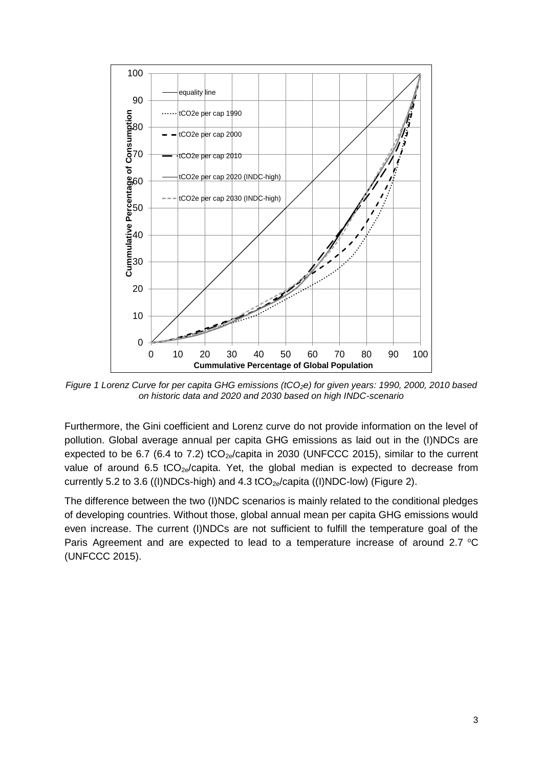

*Figure 1 Lorenz Curve for per capita GHG emissions (tCO2e) for given years: 1990, 2000, 2010 based on historic data and 2020 and 2030 based on high INDC-scenario*

Furthermore, the Gini coefficient and Lorenz curve do not provide information on the level of pollution. Global average annual per capita GHG emissions as laid out in the (I)NDCs are expected to be 6.7 (6.4 to 7.2)  $tCO_{2e}/$ capita in 2030 (UNFCCC 2015), similar to the current value of around 6.5  $tCO_{2e}/\text{capita}$ . Yet, the global median is expected to decrease from currently 5.2 to 3.6 ((I)NDCs-high) and 4.3 tCO<sub>2e</sub>/capita ((I)NDC-low) (Figure 2).

The difference between the two (I)NDC scenarios is mainly related to the conditional pledges of developing countries. Without those, global annual mean per capita GHG emissions would even increase. The current (I)NDCs are not sufficient to fulfill the temperature goal of the Paris Agreement and are expected to lead to a temperature increase of around 2.7  $^{\circ}$ C (UNFCCC 2015).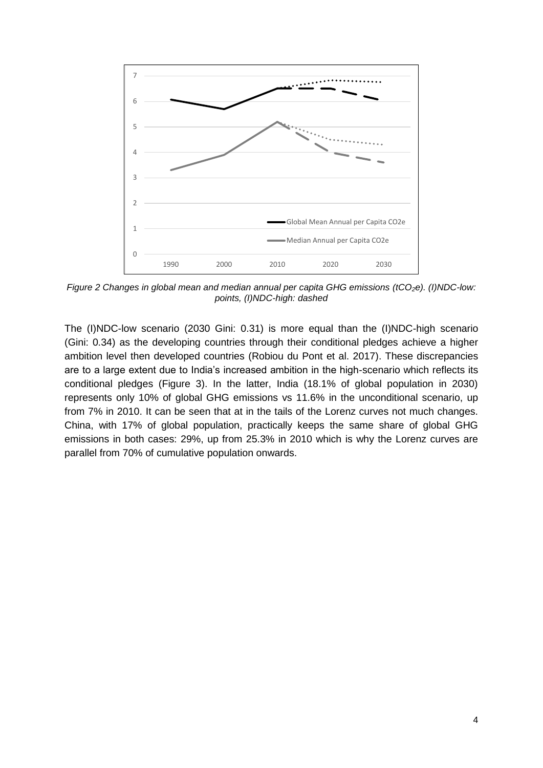

Figure 2 Changes in global mean and median annual per capita GHG emissions (tCO<sub>2</sub>e). (I)NDC-low: *points, (I)NDC-high: dashed*

The (I)NDC-low scenario (2030 Gini: 0.31) is more equal than the (I)NDC-high scenario (Gini: 0.34) as the developing countries through their conditional pledges achieve a higher ambition level then developed countries [\(Robiou du Pont et al. 2017\)](#page-7-0). These discrepancies are to a large extent due to India's increased ambition in the high-scenario which reflects its conditional pledges (Figure 3). In the latter, India (18.1% of global population in 2030) represents only 10% of global GHG emissions vs 11.6% in the unconditional scenario, up from 7% in 2010. It can be seen that at in the tails of the Lorenz curves not much changes. China, with 17% of global population, practically keeps the same share of global GHG emissions in both cases: 29%, up from 25.3% in 2010 which is why the Lorenz curves are parallel from 70% of cumulative population onwards.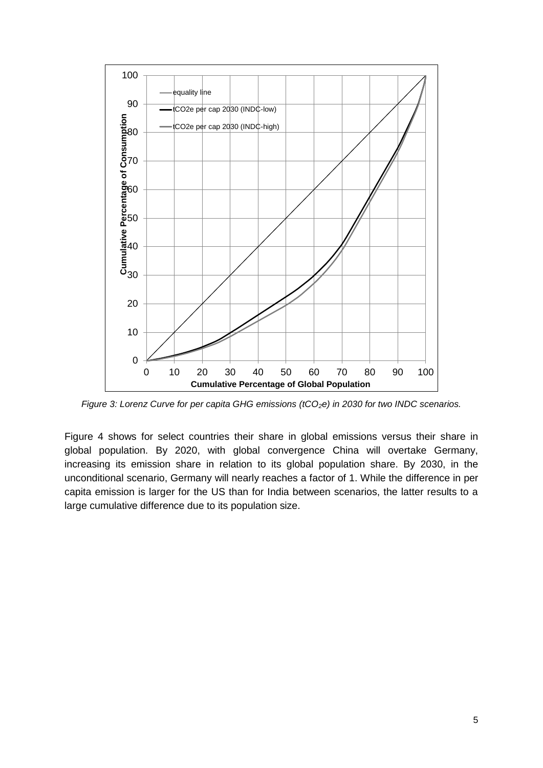

*Figure 3: Lorenz Curve for per capita GHG emissions (tCO<sub>2</sub>e) in 2030 for two INDC scenarios.* 

Figure 4 shows for select countries their share in global emissions versus their share in global population. By 2020, with global convergence China will overtake Germany, increasing its emission share in relation to its global population share. By 2030, in the unconditional scenario, Germany will nearly reaches a factor of 1. While the difference in per capita emission is larger for the US than for India between scenarios, the latter results to a large cumulative difference due to its population size.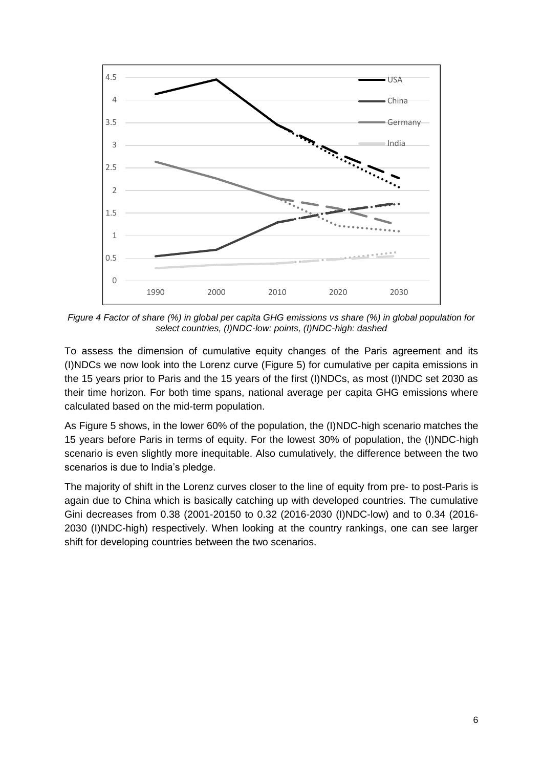

*Figure 4 Factor of share (%) in global per capita GHG emissions vs share (%) in global population for select countries, (I)NDC-low: points, (I)NDC-high: dashed*

To assess the dimension of cumulative equity changes of the Paris agreement and its (I)NDCs we now look into the Lorenz curve [\(Figure 5](#page-6-0)) for cumulative per capita emissions in the 15 years prior to Paris and the 15 years of the first (I)NDCs, as most (I)NDC set 2030 as their time horizon. For both time spans, national average per capita GHG emissions where calculated based on the mid-term population.

As Figure 5 shows, in the lower 60% of the population, the (I)NDC-high scenario matches the 15 years before Paris in terms of equity. For the lowest 30% of population, the (I)NDC-high scenario is even slightly more inequitable. Also cumulatively, the difference between the two scenarios is due to India's pledge.

The majority of shift in the Lorenz curves closer to the line of equity from pre- to post-Paris is again due to China which is basically catching up with developed countries. The cumulative Gini decreases from 0.38 (2001-20150 to 0.32 (2016-2030 (I)NDC-low) and to 0.34 (2016- 2030 (I)NDC-high) respectively. When looking at the country rankings, one can see larger shift for developing countries between the two scenarios.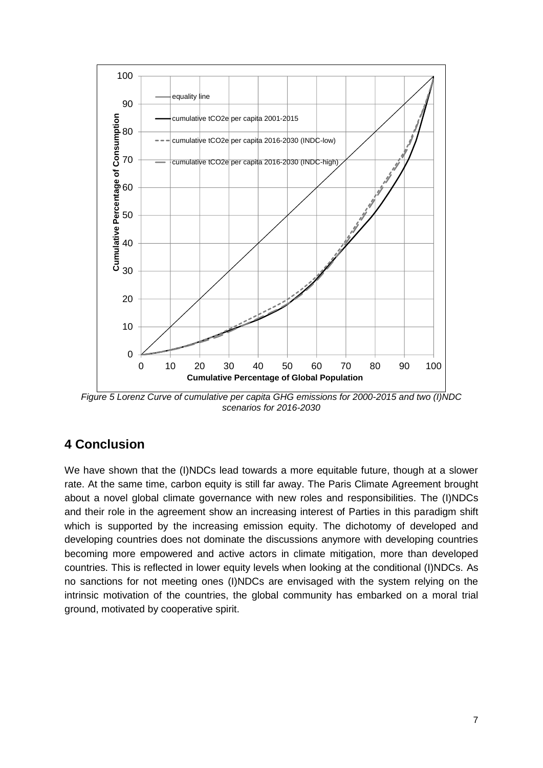

<span id="page-6-0"></span>*Figure 5 Lorenz Curve of cumulative per capita GHG emissions for 2000-2015 and two (I)NDC scenarios for 2016-2030*

### **4 Conclusion**

We have shown that the (I)NDCs lead towards a more equitable future, though at a slower rate. At the same time, carbon equity is still far away. The Paris Climate Agreement brought about a novel global climate governance with new roles and responsibilities. The (I)NDCs and their role in the agreement show an increasing interest of Parties in this paradigm shift which is supported by the increasing emission equity. The dichotomy of developed and developing countries does not dominate the discussions anymore with developing countries becoming more empowered and active actors in climate mitigation, more than developed countries. This is reflected in lower equity levels when looking at the conditional (I)NDCs. As no sanctions for not meeting ones (I)NDCs are envisaged with the system relying on the intrinsic motivation of the countries, the global community has embarked on a moral trial ground, motivated by cooperative spirit.